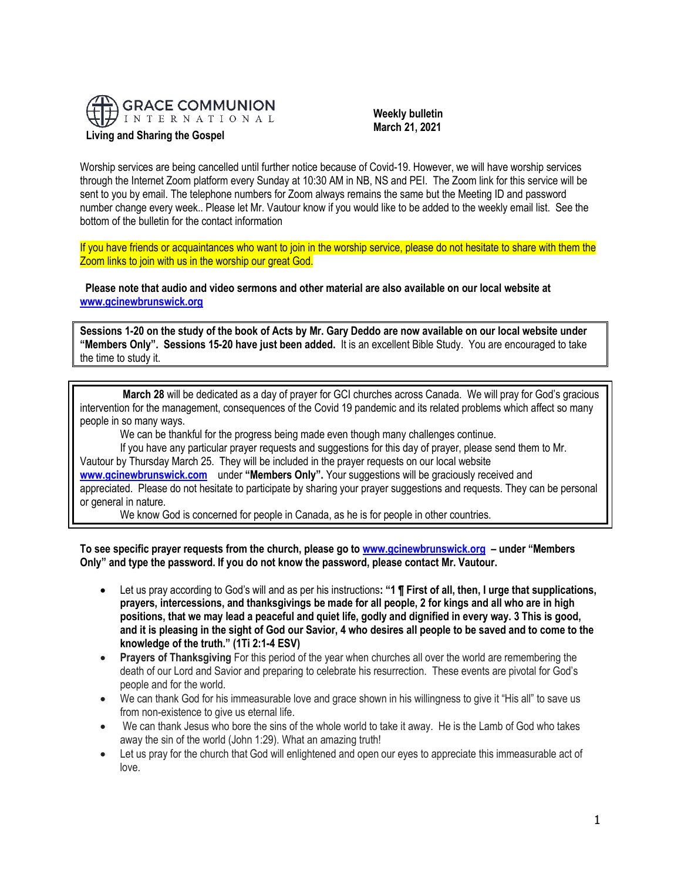

 **Weekly bulletin March 21, 2021**

Worship services are being cancelled until further notice because of Covid-19. However, we will have worship services through the Internet Zoom platform every Sunday at 10:30 AM in NB, NS and PEI. The Zoom link for this service will be sent to you by email. The telephone numbers for Zoom always remains the same but the Meeting ID and password number change every week.. Please let Mr. Vautour know if you would like to be added to the weekly email list. See the bottom of the bulletin for the contact information

If you have friends or acquaintances who want to join in the worship service, please do not hesitate to share with them the Zoom links to join with us in the worship our great God.

**Please note that audio and video sermons and other material are also available on our local website at [www.gcinewbrunswick.org](http://www.gcinewbrunswick.org/)**

**Sessions 1-20 on the study of the book of Acts by Mr. Gary Deddo are now available on our local website under "Members Only". Sessions 15-20 have just been added.** It is an excellent Bible Study. You are encouraged to take the time to study it.

**March 28** will be dedicated as a day of prayer for GCI churches across Canada. We will pray for God's gracious intervention for the management, consequences of the Covid 19 pandemic and its related problems which affect so many people in so many ways.

We can be thankful for the progress being made even though many challenges continue.

If you have any particular prayer requests and suggestions for this day of prayer, please send them to Mr. Vautour by Thursday March 25. They will be included in the prayer requests on our local website **[www.gcinewbrunswick.com](http://www.gcinewbrunswick.com/)** under **"Members Only".** Your suggestions will be graciously received and appreciated. Please do not hesitate to participate by sharing your prayer suggestions and requests. They can be personal or general in nature.

We know God is concerned for people in Canada, as he is for people in other countries.

**To see specific prayer requests from the church, please go to [www.gcinewbrunswick.org](http://www.gcinewbrunswick.org/) – under "Members Only" and type the password. If you do not know the password, please contact Mr. Vautour.**

- Let us pray according to God's will and as per his instructions**: "1 ¶ First of all, then, I urge that supplications, prayers, intercessions, and thanksgivings be made for all people, 2 for kings and all who are in high positions, that we may lead a peaceful and quiet life, godly and dignified in every way. 3 This is good, and it is pleasing in the sight of God our Savior, 4 who desires all people to be saved and to come to the knowledge of the truth." (1Ti 2:1-4 ESV)**
- **Prayers of Thanksgiving** For this period of the year when churches all over the world are remembering the death of our Lord and Savior and preparing to celebrate his resurrection. These events are pivotal for God's people and for the world.
- We can thank God for his immeasurable love and grace shown in his willingness to give it "His all" to save us from non-existence to give us eternal life.
- We can thank Jesus who bore the sins of the whole world to take it away. He is the Lamb of God who takes away the sin of the world (John 1:29). What an amazing truth!
- Let us pray for the church that God will enlightened and open our eyes to appreciate this immeasurable act of love.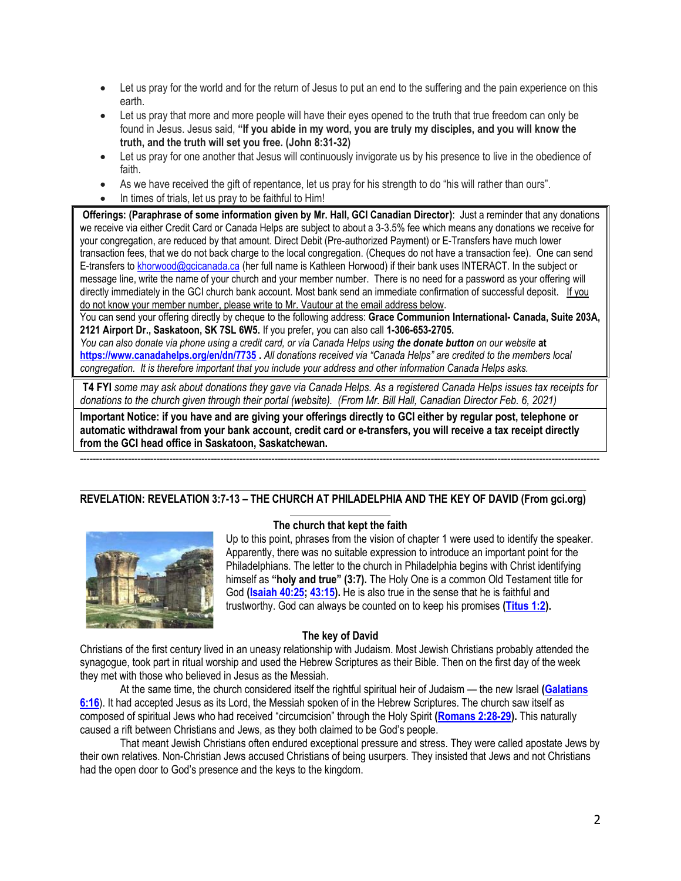- Let us pray for the world and for the return of Jesus to put an end to the suffering and the pain experience on this earth.
- Let us pray that more and more people will have their eyes opened to the truth that true freedom can only be found in Jesus. Jesus said, **"If you abide in my word, you are truly my disciples, and you will know the truth, and the truth will set you free. (John 8:31-32)**
- Let us pray for one another that Jesus will continuously invigorate us by his presence to live in the obedience of faith.
- As we have received the gift of repentance, let us pray for his strength to do "his will rather than ours".
- In times of trials, let us pray to be faithful to Him!

**Offerings: (Paraphrase of some information given by Mr. Hall, GCI Canadian Director)**: Just a reminder that any donations we receive via either Credit Card or Canada Helps are subject to about a 3-3.5% fee which means any donations we receive for your congregation, are reduced by that amount. Direct Debit (Pre-authorized Payment) or E-Transfers have much lower transaction fees, that we do not back charge to the local congregation. (Cheques do not have a transaction fee). One can send E-transfers t[o khorwood@gcicanada.ca](mailto:khorwood@gcicanada.ca) (her full name is Kathleen Horwood) if their bank uses INTERACT. In the subject or message line, write the name of your church and your member number. There is no need for a password as your offering will directly immediately in the GCI church bank account. Most bank send an immediate confirmation of successful deposit. If you do not know your member number, please write to Mr. Vautour at the email address below.

You can send your offering directly by cheque to the following address: **Grace Communion International- Canada, Suite 203A, 2121 Airport Dr., Saskatoon, SK 7SL 6W5.** If you prefer, you can also call **1-306-653-2705.** 

*You can also donate via phone using a credit card, or via Canada Helps using the donate button on our website* **at <https://www.canadahelps.org/en/dn/7735> .** *All donations received via "Canada Helps" are credited to the members local congregation. It is therefore important that you include your address and other information Canada Helps asks.*

**T4 FYI** *some may ask about donations they gave via Canada Helps. As a registered Canada Helps issues tax receipts for donations to the church given through their portal (website). (From Mr. Bill Hall, Canadian Director Feb. 6, 2021)*

-------------------------------------------------------------------------------------------------------------------------------------------------------------------

**Important Notice: if you have and are giving your offerings directly to GCI either by regular post, telephone or automatic withdrawal from your bank account, credit card or e-transfers, you will receive a tax receipt directly from the GCI head office in Saskatoon, Saskatchewan.** 

## $\mathcal{L}_\mathcal{L} = \{ \mathcal{L}_\mathcal{L} = \{ \mathcal{L}_\mathcal{L} = \{ \mathcal{L}_\mathcal{L} = \{ \mathcal{L}_\mathcal{L} = \{ \mathcal{L}_\mathcal{L} = \{ \mathcal{L}_\mathcal{L} = \{ \mathcal{L}_\mathcal{L} = \{ \mathcal{L}_\mathcal{L} = \{ \mathcal{L}_\mathcal{L} = \{ \mathcal{L}_\mathcal{L} = \{ \mathcal{L}_\mathcal{L} = \{ \mathcal{L}_\mathcal{L} = \{ \mathcal{L}_\mathcal{L} = \{ \mathcal{L}_\mathcal{$ **REVELATION: REVELATION 3:7-13 – THE CHURCH AT PHILADELPHIA AND THE KEY OF DAVID (From gci.org)**



# **The church that kept the faith**

Up to this point, phrases from the vision of chapter 1 were used to identify the speaker. Apparently, there was no suitable expression to introduce an important point for the Philadelphians. The letter to the church in Philadelphia begins with Christ identifying himself as **"holy and true" (3:7).** The Holy One is a common Old Testament title for God **[\(Isaiah 40:25;](https://biblia.com/bible/niv/Isa%2040.25) [43:15\)](https://biblia.com/bible/niv/Isaiah%2043.15).** He is also true in the sense that he is faithful and trustworthy. God can always be counted on to keep his promises **[\(Titus 1:2\)](https://biblia.com/bible/niv/Titus%201.2).**

### **The key of David**

Christians of the first century lived in an uneasy relationship with Judaism. Most Jewish Christians probably attended the synagogue, took part in ritual worship and used the Hebrew Scriptures as their Bible. Then on the first day of the week they met with those who believed in Jesus as the Messiah.

At the same time, the church considered itself the rightful spiritual heir of Judaism — the new Israel **[\(Galatians](https://biblia.com/bible/niv/Gal%206.16)  [6:16](https://biblia.com/bible/niv/Gal%206.16)**). It had accepted Jesus as its Lord, the Messiah spoken of in the Hebrew Scriptures. The church saw itself as composed of spiritual Jews who had received "circumcision" through the Holy Spirit **[\(Romans 2:28-29\)](https://biblia.com/bible/niv/Rom%202.28-29).** This naturally caused a rift between Christians and Jews, as they both claimed to be God's people.

That meant Jewish Christians often endured exceptional pressure and stress. They were called apostate Jews by their own relatives. Non-Christian Jews accused Christians of being usurpers. They insisted that Jews and not Christians had the open door to God's presence and the keys to the kingdom.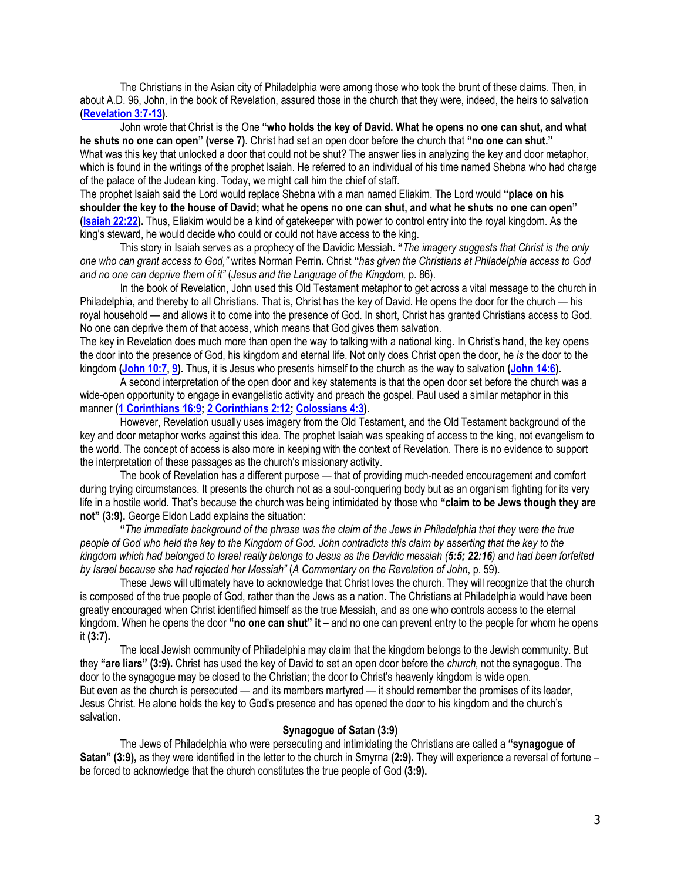The Christians in the Asian city of Philadelphia were among those who took the brunt of these claims. Then, in about A.D. 96, John, in the book of Revelation, assured those in the church that they were, indeed, the heirs to salvation **[\(Revelation 3:7-13\)](https://biblia.com/bible/niv/Rev%203.7-13).**

John wrote that Christ is the One **"who holds the key of David. What he opens no one can shut, and what he shuts no one can open" (verse 7).** Christ had set an open door before the church that **"no one can shut."** What was this key that unlocked a door that could not be shut? The answer lies in analyzing the key and door metaphor, which is found in the writings of the prophet Isaiah. He referred to an individual of his time named Shebna who had charge of the palace of the Judean king. Today, we might call him the chief of staff.

The prophet Isaiah said the Lord would replace Shebna with a man named Eliakim. The Lord would **"place on his shoulder the key to the house of David; what he opens no one can shut, and what he shuts no one can open" [\(Isaiah 22:22\)](https://biblia.com/bible/niv/Isa%2022.22).** Thus, Eliakim would be a kind of gatekeeper with power to control entry into the royal kingdom. As the king's steward, he would decide who could or could not have access to the king.

This story in Isaiah serves as a prophecy of the Davidic Messiah**. "***The imagery suggests that Christ is the only one who can grant access to God,"* writes Norman Perrin**.** Christ **"***has given the Christians at Philadelphia access to God and no one can deprive them of it"* (*Jesus and the Language of the Kingdom,* p. 86).

In the book of Revelation, John used this Old Testament metaphor to get across a vital message to the church in Philadelphia, and thereby to all Christians. That is, Christ has the key of David. He opens the door for the church — his royal household — and allows it to come into the presence of God. In short, Christ has granted Christians access to God. No one can deprive them of that access, which means that God gives them salvation.

The key in Revelation does much more than open the way to talking with a national king. In Christ's hand, the key opens the door into the presence of God, his kingdom and eternal life. Not only does Christ open the door, he *is* the door to the kingdom **[\(John 10:7,](https://biblia.com/bible/niv/John%2010.7) [9\)](https://biblia.com/bible/niv/John%2010.9).** Thus, it is Jesus who presents himself to the church as the way to salvation **[\(John 14:6\)](https://biblia.com/bible/niv/John%2014.6).**

A second interpretation of the open door and key statements is that the open door set before the church was a wide-open opportunity to engage in evangelistic activity and preach the gospel. Paul used a similar metaphor in this manner **[\(1 Corinthians 16:9;](https://biblia.com/bible/niv/1%20Cor%2016.9) [2 Corinthians 2:12;](https://biblia.com/bible/niv/2%20Cor%202.12) [Colossians 4:3\)](https://biblia.com/bible/niv/Col%204.3).**

However, Revelation usually uses imagery from the Old Testament, and the Old Testament background of the key and door metaphor works against this idea. The prophet Isaiah was speaking of access to the king, not evangelism to the world. The concept of access is also more in keeping with the context of Revelation. There is no evidence to support the interpretation of these passages as the church's missionary activity.

The book of Revelation has a different purpose — that of providing much-needed encouragement and comfort during trying circumstances. It presents the church not as a soul-conquering body but as an organism fighting for its very life in a hostile world. That's because the church was being intimidated by those who **"claim to be Jews though they are not" (3:9).** George Eldon Ladd explains the situation:

**"***The immediate background of the phrase was the claim of the Jews in Philadelphia that they were the true people of God who held the key to the Kingdom of God. John contradicts this claim by asserting that the key to the kingdom which had belonged to Israel really belongs to Jesus as the Davidic messiah (5:5; 22:16) and had been forfeited by Israel because she had rejected her Messiah"* (*A Commentary on the Revelation of John*, p. 59).

These Jews will ultimately have to acknowledge that Christ loves the church. They will recognize that the church is composed of the true people of God, rather than the Jews as a nation. The Christians at Philadelphia would have been greatly encouraged when Christ identified himself as the true Messiah, and as one who controls access to the eternal kingdom. When he opens the door **"no one can shut" it –** and no one can prevent entry to the people for whom he opens it **(3:7).**

The local Jewish community of Philadelphia may claim that the kingdom belongs to the Jewish community. But they **"are liars" (3:9).** Christ has used the key of David to set an open door before the *church,* not the synagogue. The door to the synagogue may be closed to the Christian; the door to Christ's heavenly kingdom is wide open. But even as the church is persecuted — and its members martyred — it should remember the promises of its leader, Jesus Christ. He alone holds the key to God's presence and has opened the door to his kingdom and the church's salvation.

### **Synagogue of Satan (3:9)**

The Jews of Philadelphia who were persecuting and intimidating the Christians are called a **"synagogue of Satan" (3:9),** as they were identified in the letter to the church in Smyrna **(2:9).** They will experience a reversal of fortune – be forced to acknowledge that the church constitutes the true people of God **(3:9).**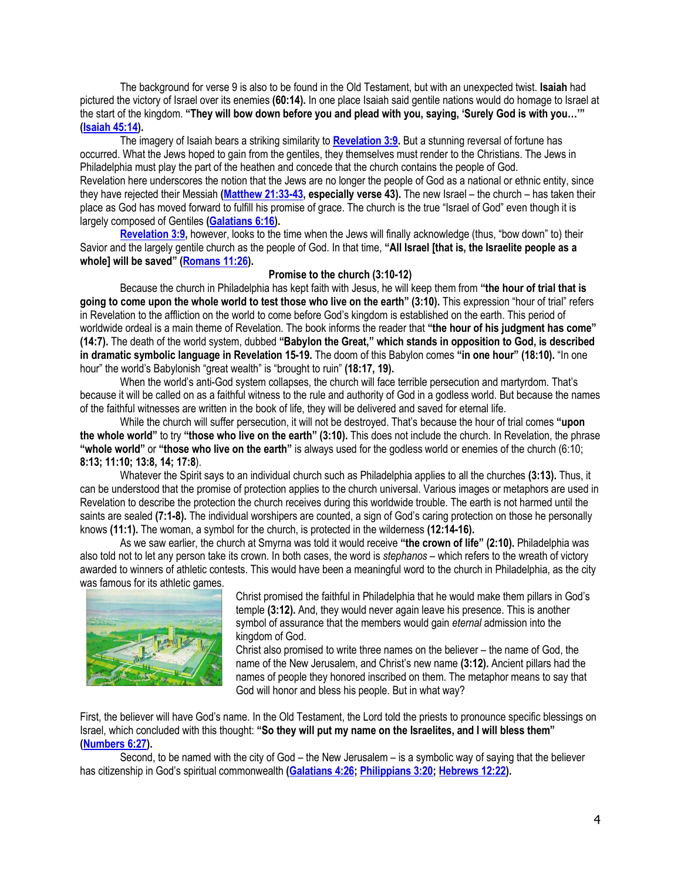The background for verse 9 is also to be found in the Old Testament, but with an unexpected twist. **Isaiah** had pictured the victory of Israel over its enemies **(60:14).** In one place Isaiah said gentile nations would do homage to Israel at the start of the kingdom. **"They will bow down before you and plead with you, saying, 'Surely God is with you…'" [\(Isaiah 45:14\)](https://biblia.com/bible/niv/Isa%2045.14).**

The imagery of Isaiah bears a striking similarity to **[Revelation 3:9.](https://biblia.com/bible/niv/Rev%203.9)** But a stunning reversal of fortune has occurred. What the Jews hoped to gain from the gentiles, they themselves must render to the Christians. The Jews in Philadelphia must play the part of the heathen and concede that the church contains the people of God. Revelation here underscores the notion that the Jews are no longer the people of God as a national or ethnic entity, since they have rejected their Messiah **[\(Matthew 21:33-43,](https://biblia.com/bible/niv/Matt%2021.33-43) especially verse 43).** The new Israel – the church – has taken their place as God has moved forward to fulfill his promise of grace. The church is the true "Israel of God" even though it is largely composed of Gentiles **[\(Galatians 6:16\)](https://biblia.com/bible/niv/Gal%206.16).**

**[Revelation 3:9,](https://biblia.com/bible/niv/Rev%203.9)** however, looks to the time when the Jews will finally acknowledge (thus, "bow down" to) their Savior and the largely gentile church as the people of God. In that time, **"All Israel [that is, the Israelite people as a whole] will be saved" ([Romans 11:26\)](https://biblia.com/bible/niv/Rom%2011.26).**

# **Promise to the church (3:10-12)**

Because the church in Philadelphia has kept faith with Jesus, he will keep them from **"the hour of trial that is going to come upon the whole world to test those who live on the earth" (3:10).** This expression "hour of trial" refers in Revelation to the affliction on the world to come before God's kingdom is established on the earth. This period of worldwide ordeal is a main theme of Revelation. The book informs the reader that **"the hour of his judgment has come" (14:7).** The death of the world system, dubbed **"Babylon the Great," which stands in opposition to God, is described in dramatic symbolic language in Revelation 15-19.** The doom of this Babylon comes **"in one hour" (18:10).** "In one hour" the world's Babylonish "great wealth" is "brought to ruin" **(18:17, 19).**

When the world's anti-God system collapses, the church will face terrible persecution and martyrdom. That's because it will be called on as a faithful witness to the rule and authority of God in a godless world. But because the names of the faithful witnesses are written in the book of life, they will be delivered and saved for eternal life.

While the church will suffer persecution, it will not be destroyed. That's because the hour of trial comes **"upon the whole world"** to try **"those who live on the earth" (3:10).** This does not include the church. In Revelation, the phrase **"whole world"** or **"those who live on the earth"** is always used for the godless world or enemies of the church (6:10; **8:13; 11:10; 13:8, 14; 17:8**).

Whatever the Spirit says to an individual church such as Philadelphia applies to all the churches **(3:13).** Thus, it can be understood that the promise of protection applies to the church universal. Various images or metaphors are used in Revelation to describe the protection the church receives during this worldwide trouble. The earth is not harmed until the saints are sealed **(7:1-8).** The individual worshipers are counted, a sign of God's caring protection on those he personally knows **(11:1).** The woman, a symbol for the church, is protected in the wilderness **(12:14-16).**

As we saw earlier, the church at Smyrna was told it would receive **"the crown of life" (2:10).** Philadelphia was also told not to let any person take its crown. In both cases, the word is *stephanos* – which refers to the wreath of victory awarded to winners of athletic contests. This would have been a meaningful word to the church in Philadelphia, as the city was famous for its athletic games.



Christ promised the faithful in Philadelphia that he would make them pillars in God's temple **(3:12).** And, they would never again leave his presence. This is another symbol of assurance that the members would gain *eternal* admission into the kingdom of God.

Christ also promised to write three names on the believer – the name of God, the name of the New Jerusalem, and Christ's new name **(3:12).** Ancient pillars had the names of people they honored inscribed on them. The metaphor means to say that God will honor and bless his people. But in what way?

First, the believer will have God's name. In the Old Testament, the Lord told the priests to pronounce specific blessings on Israel, which concluded with this thought: **"So they will put my name on the Israelites, and I will bless them" [\(Numbers 6:27\)](https://biblia.com/bible/niv/Num%206.27).**

Second, to be named with the city of God – the New Jerusalem – is a symbolic way of saying that the believer has citizenship in God's spiritual commonwealth **[\(Galatians 4:26;](https://biblia.com/bible/niv/Gal%204.26) [Philippians 3:20;](https://biblia.com/bible/niv/Phil%203.20) [Hebrews 12:22\)](https://biblia.com/bible/niv/Heb%2012.22).**